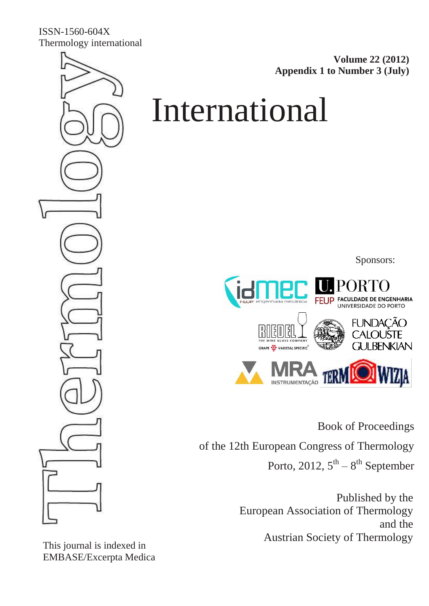ISSN-1560-604X Thermology international

**Volume 22 (2012) Appendix 1 to Number 3 (July)**

# International

Sponsors:



Book of Proceedings

of the 12th European Congress of Thermology

Porto, 2012,  $5^{\text{th}} - 8^{\text{th}}$  September

Published by the European Association of Thermology and the Austrian Society of Thermology

This journal is indexed in EMBASE/Excerpta Medica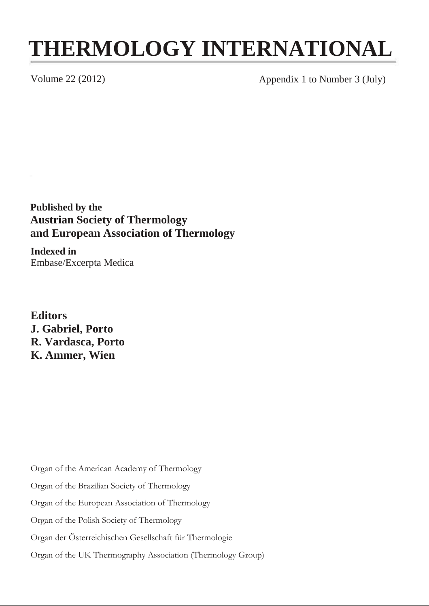## **THERMOLOGY INTERNATIONAL**

Volume 22 (2012) Appendix 1 to Number 3 (July)

**Published by the Austrian Society of Thermology and European Association of Thermology**

**Indexed in** Embase/Excerpta Medica

**Editors J. Gabriel, Porto R. Vardasca, Porto K. Ammer, Wien**

Organ of the American Academy of Thermology

Organ of the Brazilian Society of Thermology

Organ of the European Association of Thermology

Organ of the Polish Society of Thermology

Organ der Österreichischen Gesellschaft für Thermologie

Organ of the UK Thermography Association (Thermology Group)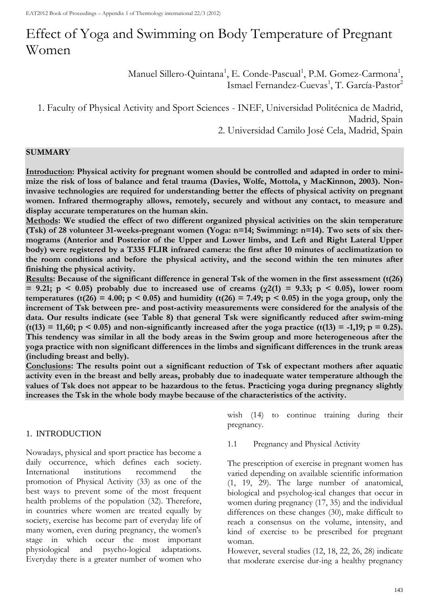### Effect of Yoga and Swimming on Body Temperature of Pregnant Women

Manuel Sillero-Quintana<sup>1</sup>, E. Conde-Pascual<sup>1</sup>, P.M. Gomez-Carmona<sup>1</sup>, Ismael Fernandez-Cuevas<sup>1</sup>, T. García-Pastor<sup>2</sup>

1. Faculty of Physical Activity and Sport Sciences - INEF, Universidad Politécnica de Madrid, Madrid, Spain 2. Universidad Camilo José Cela, Madrid, Spain

#### **SUMMARY**

**Introduction: Physical activity for pregnant women should be controlled and adapted in order to minimize the risk of loss of balance and fetal trauma (Davies, Wolfe, Mottola, y MacKinnon, 2003). Noninvasive technologies are required for understanding better the effects of physical activity on pregnant women. Infrared thermography allows, remotely, securely and without any contact, to measure and display accurate temperatures on the human skin.** 

**Methods: We studied the effect of two different organized physical activities on the skin temperature (Tsk) of 28 volunteer 31-weeks-pregnant women (Yoga: n=14; Swimming: n=14). Two sets of six thermograms (Anterior and Posterior of the Upper and Lower limbs, and Left and Right Lateral Upper body) were registered by a T335 FLIR infrared camera: the first after 10 minutes of acclimatization to the room conditions and before the physical activity, and the second within the ten minutes after finishing the physical activity.** 

**Results: Because of the significant difference in general Tsk of the women in the first assessment (t(26)**   $= 9.21$ ;  $p \le 0.05$ ) probably due to increased use of creams ( $\gamma$ 2(1) = 9.33;  $p \le 0.05$ ), lower room temperatures (t(26) = 4.00; p < 0.05) and humidity (t(26) = 7.49; p < 0.05) in the yoga group, only the **increment of Tsk between pre- and post-activity measurements were considered for the analysis of the data. Our results indicate (see Table 8) that general Tsk were significantly reduced after swim-ming (t(13) = 11,60; p < 0.05) and non-significantly increased after the yoga practice (t(13) = -1,19; p = 0.25). This tendency was similar in all the body areas in the Swim group and more heterogeneous after the yoga practice with non significant differences in the limbs and significant differences in the trunk areas (including breast and belly).** 

**Conclusions: The results point out a significant reduction of Tsk of expectant mothers after aquatic activity even in the breast and belly areas, probably due to inadequate water temperature although the values of Tsk does not appear to be hazardous to the fetus. Practicing yoga during pregnancy slightly increases the Tsk in the whole body maybe because of the characteristics of the activity.**

#### 1. INTRODUCTION

Nowadays, physical and sport practice has become a daily occurrence, which defines each society. International institutions recommend the promotion of Physical Activity (33) as one of the best ways to prevent some of the most frequent health problems of the population (32). Therefore, in countries where women are treated equally by society, exercise has become part of everyday life of many women, even during pregnancy, the women's stage in which occur the most important physiological and psycho-logical adaptations. Everyday there is a greater number of women who

wish (14) to continue training during their pregnancy.

1.1 Pregnancy and Physical Activity

The prescription of exercise in pregnant women has varied depending on available scientific information (1, 19, 29). The large number of anatomical, biological and psycholog-ical changes that occur in women during pregnancy (17, 35) and the individual differences on these changes (30), make difficult to reach a consensus on the volume, intensity, and kind of exercise to be prescribed for pregnant woman.

However, several studies (12, 18, 22, 26, 28) indicate that moderate exercise dur-ing a healthy pregnancy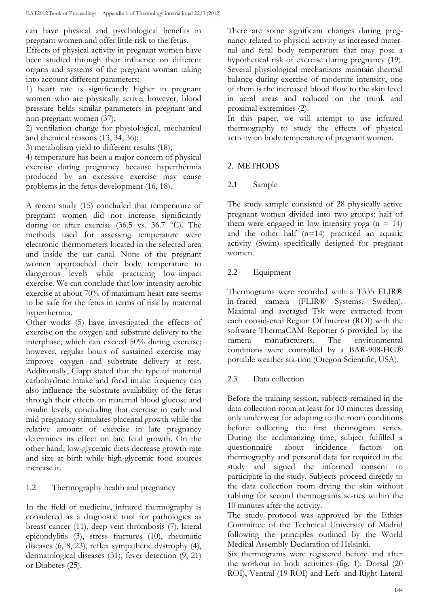can have physical and psychological benefits in pregnant women and offer little risk to the fetus.

Effects of physical activity in pregnant women have been studied through their influence on different organs and systems of the pregnant woman taking into account different parameters:

1) heart rate is significantly higher in pregnant women who are physically active; however, blood pressure helds similar parameters in pregnant and non-pregnant women (37);

2) ventilation change for physiological, mechanical and chemical reasons (13, 34, 36);

3) metabolism yield to different results (18);

4) temperature has been a major concern of physical exercise during pregnancy because hyperthermia produced by an excessive exercise may cause problems in the fetus development (16, 18).

A recent study (15) concluded that temperature of pregnant women did not increase significantly during or after exercise (36.5 vs. 36.7 °C). The methods used for assessing temperature were electronic thermometers located in the selected area and inside the ear canal. None of the pregnant women approached their body temperature to dangerous levels while practicing low-impact exercise. We can conclude that low intensity aerobic exercise at about 70% of maximum heart rate seems to be safe for the fetus in terms of risk by maternal hyperthermia.

Other works (5) have investigated the effects of exercise on the oxygen and substrate delivery to the interphase, which can exceed 50% during exercise; however, regular bouts of sustained exercise may improve oxygen and substrate delivery at rest. Additionally, Clapp stated that the type of maternal carbohydrate intake and food intake frequency can also influence the substrate availability of the fetus through their effects on maternal blood glucose and insulin levels, concluding that exercise in early and mid pregnancy stimulates placental growth while the relative amount of exercise in late pregnancy determines its effect on late fetal growth. On the other hand, low-glycemic diets decrease growth rate and size at birth while high-glycemic food sources increase it.

#### 1.2 Thermography health and pregnancy

In the field of medicine, infrared thermography is considered as a diagnostic tool for pathologies as breast cancer (11), deep vein thrombosis (7), lateral epicondylitis (3), stress fractures (10), rheumatic diseases (6, 8, 23), reflex sympathetic dystrophy (4), dermatological diseases (31), fever detection (9, 21) or Diabetes (25).

There are some significant changes during pregnancy related to physical activity as increased maternal and fetal body temperature that may pose a hypothetical risk of exercise during pregnancy (19). Several physiological mechanisms maintain thermal balance during exercise of moderate intensity, one of them is the increased blood flow to the skin level in acral areas and reduced on the trunk and proximal extremities (2).

In this paper, we will attempt to use infrared thermography to study the effects of physical activity on body temperature of pregnant women.

#### 2. METHODS

#### 2.1 Sample

The study sample consisted of 28 physically active pregnant women divided into two groups: half of them were engaged in low intensity yoga ( $n = 14$ ) and the other half (n=14) practiced an aquatic activity (Swim) specifically designed for pregnant women.

#### 2.2 Equipment

Thermograms were recorded with a T335 FLIR® in-frared camera (FLIR® Systems, Sweden). Maximal and averaged Tsk were extracted from each consid-ered Region Of Interest (ROI) with the software ThermaCAM Reporter 6 provided by the camera manufacturers. The environmental conditions were controlled by a BAR-908-HG® portable weather sta-tion (Oregon Scientific, USA).

2.3 Data collection

Before the training session, subjects remained in the data collection room at least for 10 minutes dressing only underwear for adapting to the room conditions before collecting the first thermogram series. During the acclimatizing time, subject fulfilled a questionnaire about incidence factors on thermography and personal data for required in the study and signed the informed consent to participate in the study. Subjects proceed directly to the data collection room drying the skin without rubbing for second thermograms se-ries within the 10 minutes after the activity.

The study protocol was approved by the Ethics Committee of the Technical University of Madrid following the principles outlined by the World Medical Assembly Declaration of Helsinki.

Six thermograms were registered before and after the workout in both activities (fig. 1): Dorsal (20 ROI), Ventral (19 ROI) and Left- and Right-Lateral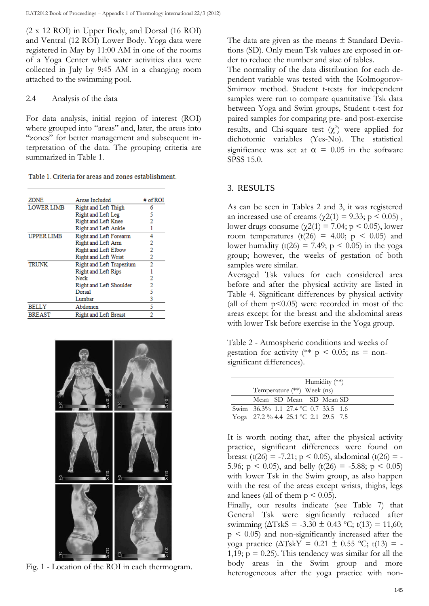(2 x 12 ROI) in Upper Body, and Dorsal (16 ROI) and Ventral (12 ROI) Lower Body. Yoga data were registered in May by 11:00 AM in one of the rooms of a Yoga Center while water activities data were collected in July by 9:45 AM in a changing room attached to the swimming pool.

#### 2.4 Analysis of the data

For data analysis, initial region of interest (ROI) where grouped into "areas" and, later, the areas into "zones" for better management and subsequent interpretation of the data. The grouping criteria are summarized in Table 1.

| Table 1. Criteria for areas and zones establishment. |  |  |
|------------------------------------------------------|--|--|
|------------------------------------------------------|--|--|

| ZONE              | Areas Included              | # of ROI |
|-------------------|-----------------------------|----------|
| <b>LOWER LIMB</b> | Right and Left Thigh        | 6        |
|                   | Right and Left Leg          | 5        |
|                   | Right and Left Knee         | 2        |
|                   | Right and Left Ankle        |          |
| <b>UPPER LIMB</b> | Right and Left Forearm      | 4        |
|                   | Right and Left Arm          | 2        |
|                   | Right and Left Elbow        | 2        |
|                   | <b>Right and Left Wrist</b> | 2        |
| <b>TRUNK</b>      | Right and Left Trapezium    | 2        |
|                   | <b>Right and Left Rips</b>  |          |
|                   | Neck                        | 2        |
|                   | Right and Left Shoulder     | 2        |
|                   | Dorsal                      | 5        |
|                   | Lumbar                      | 3        |
| <b>BELLY</b>      | Abdomen                     | 5        |
| BREAST            | Right and Left Breast       | 2        |



Fig. 1 - Location of the ROI in each thermogram.

The data are given as the means  $\pm$  Standard Deviations (SD). Only mean Tsk values are exposed in order to reduce the number and size of tables.

The normality of the data distribution for each dependent variable was tested with the Kolmogorov-Smirnov method. Student t-tests for independent samples were run to compare quantitative Tsk data between Yoga and Swim groups, Student t-test for paired samples for comparing pre- and post-exercise results, and Chi-square test  $(\chi^2)$  were applied for dichotomic variables (Yes-No). The statistical significance was set at  $\alpha = 0.05$  in the software SPSS 15.0.

#### 3. RESULTS

As can be seen in Tables 2 and 3, it was registered an increased use of creams ( $\gamma$ 2(1) = 9.33; p < 0.05), lower drugs consume ( $χ2(1) = 7.04$ ; p < 0.05), lower room temperatures  $(t(26) = 4.00; p < 0.05)$  and lower humidity (t(26) = 7.49;  $p < 0.05$ ) in the yoga group; however, the weeks of gestation of both samples were similar.

Averaged Tsk values for each considered area before and after the physical activity are listed in Table 4. Significant differences by physical activity (all of them  $p<0.05$ ) were recorded in most of the areas except for the breast and the abdominal areas with lower Tsk before exercise in the Yoga group.

Table 2 - Atmospheric conditions and weeks of gestation for activity (\*\*  $p \le 0.05$ ; ns = nonsignificant differences).

| Humidity $(**)$<br>Temperature (**) Week (ns) |
|-----------------------------------------------|
| Mean SD Mean SD Mean SD                       |
| Swim 36.3% 1.1 27.4 °C 0.7 33.5 1.6           |
| Yoga 27.2 % 4.4 25.1 °C 2.1 29.5 7.5          |

It is worth noting that, after the physical activity practice, significant differences were found on breast (t(26) = -7.21; p < 0.05), abdominal (t(26) = -5.96;  $p \le 0.05$ ), and belly (t(26) = -5.88;  $p \le 0.05$ ) with lower Tsk in the Swim group, as also happen with the rest of the areas except wrists, thighs, legs and knees (all of them  $p \le 0.05$ ).

Finally, our results indicate (see Table 7) that General Tsk were significantly reduced after swimming  $(\Delta T$ skS = -3.30  $\pm$  0.43 °C; t(13) = 11,60;  $p \leq 0.05$ ) and non-significantly increased after the yoga practice ( $ΔTskY = 0.21 ± 0.55 °C$ ; t(13) = -1,19;  $p = 0.25$ ). This tendency was similar for all the body areas in the Swim group and more heterogeneous after the yoga practice with non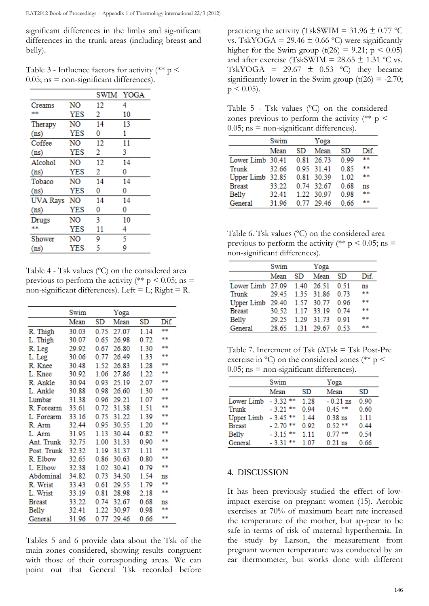significant differences in the limbs and sig-nificant differences in the trunk areas (including breast and belly).

Table 3 - Influence factors for activity  $(*\ast p$  <  $0.05$ ; ns = non-significant differences).

|                   |                |    | SWIM YOGA |
|-------------------|----------------|----|-----------|
| Creams            | NO             | 12 | 4         |
| 宋宋                | YES            | 2  | 10        |
| Therapy           | NO             | 14 | 13        |
| (n <sub>s</sub> ) | <b>YES</b>     | 0  | 1         |
| Coffee            | NO             | 12 | 11        |
| (n <sub>s</sub> ) | YES            | 2  | 3         |
| Alcohol           | NO             | 12 | 14        |
| (n <sub>s</sub> ) | YES            | 2  | 0         |
| Tobaco            | N <sub>O</sub> | 14 | 14        |
| (n <sub>s</sub> ) | <b>YES</b>     | 0  | 0         |
| <b>UVA Rays</b>   | NO             | 14 | 14        |
| (n <sub>s</sub> ) | YES            | 0  | 0         |
| Drugs             | NO             | 3  | 10        |
| **                | <b>YES</b>     | 11 | 4         |
| Shower            | NO             | 9  | 5         |
| (n <sub>s</sub> ) | YES            | 5  | 9         |

Table 4 - Tsk values (ºC) on the considered area previous to perform the activity (\*\*  $p \le 0.05$ ; ns = non-significant differences). Left = L; Right = R.

|                  | Swim  |      | Yoga  |      |      |
|------------------|-------|------|-------|------|------|
|                  | Mean  | SD   | Mean  | SD   | Dif. |
| R. Thigh         | 30.03 | 0.75 | 27.07 | 1.14 | **   |
| L. Thigh         | 30.07 | 0.65 | 26.98 | 0.72 | **   |
| R. Leg           | 29.92 | 0.67 | 26.80 | 1.30 | 宋宋   |
| L. Leg           | 30.06 | 0.77 | 26.49 | 1.33 | **   |
| R. Knee          | 30.48 | 1.52 | 26.83 | 1.28 | **   |
| L. Knee          | 30.92 | 1.06 | 27.86 | 1.22 | **   |
| R. Ankle         | 30.94 | 0.93 | 25.19 | 2.07 | **   |
| L. Ankle         | 30.88 | 0.98 | 26.60 | 1.30 | **   |
| Lumbar           | 31.38 | 0.96 | 29.21 | 1.07 | **   |
| R. Forearm 33.61 |       | 0.72 | 31.38 | 1.51 | **   |
| L. Forearm       | 33.16 | 0.75 | 31.22 | 1.39 | **   |
| R. Arm           | 32.44 | 0.95 | 30.55 | 1.20 | **   |
| L. Arm           | 31.95 | 1.13 | 30.44 | 0.82 | **   |
| Ant. Trunk       | 32.75 | 1.00 | 31.33 | 0.90 | **   |
| Post. Trunk      | 32.32 | 1.19 | 31.37 | 1.11 | **   |
| R. Elbow         | 32.65 | 0.86 | 30.63 | 0.80 | **   |
| L. Elbow         | 32.38 | 1.02 | 30.41 | 0.79 | **   |
| Abdominal        | 34.82 | 0.73 | 34.50 | 1.54 | ns   |
| R. Wrist         | 33.43 | 0.61 | 29.55 | 1.79 | **   |
| L. Wrist         | 33.19 | 0.81 | 28.98 | 2.18 | **   |
| Breast           | 33.22 | 0.74 | 32.67 | 0.68 | ns   |
| Belly            | 32.41 | 1.22 | 30.97 | 0.98 | **   |
| General          | 31.96 | 0.77 | 29.46 | 0.66 | **   |

Tables 5 and 6 provide data about the Tsk of the main zones considered, showing results congruent with those of their corresponding areas. We can point out that General Tsk recorded before practicing the activity (TskSWIM =  $31.96 \pm 0.77$  °C vs. TskYOGA = 29.46  $\pm$  0.66 °C) were significantly higher for the Swim group  $(t(26) = 9.21; p \le 0.05)$ and after exercise (TskSWIM =  $28.65 \pm 1.31$  °C vs. TskYOGA =  $29.67 \pm 0.53$  °C) they became significantly lower in the Swim group  $(t(26) = -2.70)$ ;  $p \le 0.05$ ).

Table 5 - Tsk values (ºC) on the considered zones previous to perform the activity  $(*\ast p$  <  $0.05$ ; ns = non-significant differences).

|                  | Swim  |    | Yoga       |      |     |
|------------------|-------|----|------------|------|-----|
|                  | Mean  | SD | Mean       | SD   | Dif |
| Lower Limb 30.41 |       |    | 0.81 26.73 | 0.99 | **  |
| Trunk            | 32.66 |    | 0 95 31 41 | 0.85 | **  |
| Upper Limb 32.85 |       |    | 0.81 30.39 | 1.02 | **  |
| <b>Breast</b>    | 33.22 |    | 0.74 32.67 | 0.68 | ns  |
| Belly            | 32.41 |    | 1 22 30 97 | 0.98 | **  |
| General          | 31.96 |    | 0.77 29.46 | 0.66 | 宋末  |

Table 6. Tsk values (ºC) on the considered area previous to perform the activity (\*\*  $p \le 0.05$ ; ns = non-significant differences).

|                   | Swim  |      | Yoga       |      |      |
|-------------------|-------|------|------------|------|------|
|                   | Mean  | SD   | Mean       | SD.  | Dif. |
| Lower Limb 27.09  |       | 1.40 | 26.51      | 0.51 | ns   |
| Trunk             | 29.45 |      | 1 35 31 86 | 0.73 | 宋宋   |
| <b>Upper Limb</b> | 29.40 |      | 1.57 30.77 | 0.96 | **   |
| <b>Breast</b>     | 30.52 |      | 1.17 33.19 | 0.74 | **   |
| Belly             | 29.25 | 1 29 | - 31.73    | 0.91 | **   |
| General           | 28.65 |      | 1.31 29.67 | 0.53 | 宋宋   |
|                   |       |      |            |      |      |

Table 7. Increment of Tsk (ΔTsk = Tsk Post-Pre exercise in  $^{\circ}$ C) on the considered zones (\*\* p <  $0.05$ ; ns = non-significant differences).

|               | Swim          |       | Yoga       |      |
|---------------|---------------|-------|------------|------|
|               | Mean          | SD    | Mean       | SD   |
| Lower Limb    | $-332**$      | 1.28  | $-0.21$ ns | 0.90 |
| Trunk         | $-3.21$ **    | 0.94  | $0.45$ **  | 0.60 |
| Upper Limb    | $-3.45$ **    | 1.44  | $0.38$ ns  | 1.11 |
| <b>Breast</b> | $-2.70$ **    | 0.92  | $0.52$ **  | 0.44 |
| Belly         | $-3.15**$     | 1 1 1 | $0.77$ **  | 0.54 |
| General       | $-3.31$<br>** | 1.07  | $0.21$ ns  | 0.66 |

#### 4. DISCUSSION

It has been previously studied the effect of lowimpact exercise on pregnant women (15). Aerobic exercises at 70% of maximum heart rate increased the temperature of the mother, but ap-pear to be safe in terms of risk of maternal hyperthermia. In the study by Larson, the measurement from pregnant women temperature was conducted by an ear thermometer, but works done with different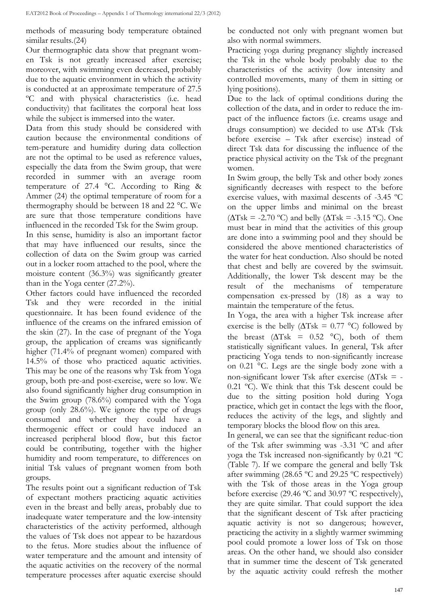methods of measuring body temperature obtained similar results.(24)

Our thermographic data show that pregnant women Tsk is not greatly increased after exercise; moreover, with swimming even decreased, probably due to the aquatic environment in which the activity is conducted at an approximate temperature of 27.5 ºC and with physical characteristics (i.e. head conductivity) that facilitates the corporal heat loss while the subject is immersed into the water.

Data from this study should be considered with caution because the environmental conditions of tem-perature and humidity during data collection are not the optimal to be used as reference values, especially the data from the Swim group, that were recorded in summer with an average room temperature of 27.4 °C. According to Ring & Ammer (24) the optimal temperature of room for a thermography should be between 18 and 22 °C. We are sure that those temperature conditions have influenced in the recorded Tsk for the Swim group. In this sense, humidity is also an important factor that may have influenced our results, since the collection of data on the Swim group was carried out in a locker room attached to the pool, where the moisture content (36.3%) was significantly greater than in the Yoga center (27.2%).

Other factors could have influenced the recorded Tsk and they were recorded in the initial questionnaire. It has been found evidence of the influence of the creams on the infrared emission of the skin (27). In the case of pregnant of the Yoga group, the application of creams was significantly higher (71.4% of pregnant women) compared with 14.5% of those who practiced aquatic activities. This may be one of the reasons why Tsk from Yoga group, both pre-and post-exercise, were so low. We also found significantly higher drug consumption in the Swim group (78.6%) compared with the Yoga group (only 28.6%). We ignore the type of drugs consumed and whether they could have a thermogenic effect or could have induced an increased peripheral blood flow, but this factor could be contributing, together with the higher humidity and room temperature, to differences on initial Tsk values of pregnant women from both groups.

The results point out a significant reduction of Tsk of expectant mothers practicing aquatic activities even in the breast and belly areas, probably due to inadequate water temperature and the low-intensity characteristics of the activity performed, although the values of Tsk does not appear to be hazardous to the fetus. More studies about the influence of water temperature and the amount and intensity of the aquatic activities on the recovery of the normal temperature processes after aquatic exercise should

be conducted not only with pregnant women but also with normal swimmers.

Practicing yoga during pregnancy slightly increased the Tsk in the whole body probably due to the characteristics of the activity (low intensity and controlled movements, many of them in sitting or lying positions).

Due to the lack of optimal conditions during the collection of the data, and in order to reduce the impact of the influence factors (i.e. creams usage and drugs consumption) we decided to use  $\Delta$ Tsk (Tsk before exercise – Tsk after exercise) instead of direct Tsk data for discussing the influence of the practice physical activity on the Tsk of the pregnant women.

In Swim group, the belly Tsk and other body zones significantly decreases with respect to the before exercise values, with maximal descents of -3.45 ºC on the upper limbs and minimal on the breast  $(\Delta T_s k = -2.70 \degree C)$  and belly  $(\Delta T_s k = -3.15 \degree C)$ . One must bear in mind that the activities of this group are done into a swimming pool and they should be considered the above mentioned characteristics of the water for heat conduction. Also should be noted that chest and belly are covered by the swimsuit. Additionally, the lower Tsk descent may be the result of the mechanisms of temperature compensation ex-pressed by (18) as a way to maintain the temperature of the fetus.

In Yoga, the area with a higher Tsk increase after exercise is the belly ( $\Delta$ Tsk = 0.77 °C) followed by the breast  $(\Delta T s k = 0.52 \degree C)$ , both of them statistically significant values. In general, Tsk after practicing Yoga tends to non-significantly increase on 0.21 °C. Legs are the single body zone with a non-significant lower Tsk after exercise  $(\Delta T_s)$  = -0.21 ºC). We think that this Tsk descent could be due to the sitting position hold during Yoga practice, which get in contact the legs with the floor, reduces the activity of the legs, and slightly and temporary blocks the blood flow on this area.

In general, we can see that the significant reduc-tion of the Tsk after swimming was -3.31 ºC and after yoga the Tsk increased non-significantly by 0.21 ºC (Table 7). If we compare the general and belly Tsk after swimming (28.65 ºC and 29.25 ºC respectively) with the Tsk of those areas in the Yoga group before exercise (29.46 ºC and 30.97 ºC respectively), they are quite similar. That could support the idea that the significant descent of Tsk after practicing aquatic activity is not so dangerous; however, practicing the activity in a slightly warmer swimming pool could promote a lower loss of Tsk on those areas. On the other hand, we should also consider that in summer time the descent of Tsk generated by the aquatic activity could refresh the mother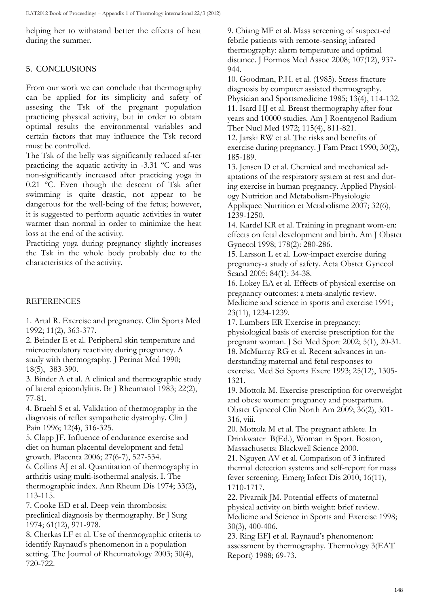helping her to withstand better the effects of heat during the summer.

#### 5. CONCLUSIONS

From our work we can conclude that thermography can be applied for its simplicity and safety of assesing the Tsk of the pregnant population practicing physical activity, but in order to obtain optimal results the environmental variables and certain factors that may influence the Tsk record must be controlled.

The Tsk of the belly was significantly reduced af-ter practicing the aquatic activity in -3.31 ºC and was non-significantly increased after practicing yoga in 0.21 ºC. Even though the descent of Tsk after swimming is quite drastic, not appear to be dangerous for the well-being of the fetus; however, it is suggested to perform aquatic activities in water warmer than normal in order to minimize the heat loss at the end of the activity.

Practicing yoga during pregnancy slightly increases the Tsk in the whole body probably due to the characteristics of the activity.

#### REFERENCES

1. Artal R. Exercise and pregnancy. Clin Sports Med 1992; 11(2), 363-377.

2. Beinder E et al. Peripheral skin temperature and microcirculatory reactivity during pregnancy. A study with thermography. J Perinat Med 1990; 18(5), 383-390.

3. Binder A et al. A clinical and thermographic study of lateral epicondylitis. Br J Rheumatol 1983; 22(2), 77-81.

4. Bruehl S et al. Validation of thermography in the diagnosis of reflex sympathetic dystrophy. Clin J Pain 1996; 12(4), 316-325.

5. Clapp JF. Influence of endurance exercise and diet on human placental development and fetal growth. Placenta 2006; 27(6-7), 527-534.

6. Collins AJ et al. Quantitation of thermography in arthritis using multi-isothermal analysis. I. The thermographic index. Ann Rheum Dis 1974; 33(2), 113-115.

7. Cooke ED et al. Deep vein thrombosis: preclinical diagnosis by thermography. Br J Surg 1974; 61(12), 971-978.

8. Cherkas LF et al. Use of thermographic criteria to identify Raynaud's phenomenon in a population setting. The Journal of Rheumatology 2003; 30(4), 720-722.

9. Chiang MF et al. Mass screening of suspect-ed febrile patients with remote-sensing infrared thermography: alarm temperature and optimal distance. J Formos Med Assoc 2008; 107(12), 937- 944.

10. Goodman, P.H. et al. (1985). Stress fracture diagnosis by computer assisted thermography. Physician and Sportsmedicine 1985; 13(4), 114-132. 11. Isard HJ et al. Breast thermography after four years and 10000 studies. Am J Roentgenol Radium Ther Nucl Med 1972; 115(4), 811-821.

12. Jarski RW et al. The risks and benefits of exercise during pregnancy. J Fam Pract 1990; 30(2), 185-189.

13. Jensen D et al. Chemical and mechanical adaptations of the respiratory system at rest and during exercise in human pregnancy. Applied Physiology Nutrition and Metabolism-Physiologie Appliquee Nutrition et Metabolisme 2007; 32(6), 1239-1250.

14. Kardel KR et al. Training in pregnant wom-en: effects on fetal development and birth. Am J Obstet Gynecol 1998; 178(2): 280-286.

15. Larsson L et al. Low-impact exercise during pregnancy-a study of safety. Acta Obstet Gynecol Scand 2005; 84(1): 34-38.

16. Lokey EA et al. Effects of physical exercise on pregnancy outcomes: a meta-analytic review. Medicine and science in sports and exercise 1991; 23(11), 1234-1239.

17. Lumbers ER Exercise in pregnancy: physiological basis of exercise prescription for the pregnant woman. J Sci Med Sport 2002; 5(1), 20-31. 18. McMurray RG et al. Recent advances in understanding maternal and fetal responses to exercise. Med Sci Sports Exerc 1993; 25(12), 1305- 1321.

19. Mottola M. Exercise prescription for overweight and obese women: pregnancy and postpartum. Obstet Gynecol Clin North Am 2009; 36(2), 301- 316, viii.

20. Mottola M et al. The pregnant athlete. In Drinkwater B(Ed.), Woman in Sport. Boston, Massachusetts: Blackwell Science 2000.

21. Nguyen AV et al. Comparison of 3 infrared thermal detection systems and self-report for mass fever screening. Emerg Infect Dis 2010; 16(11), 1710-1717.

22. Pivarnik JM. Potential effects of maternal physical activity on birth weight: brief review. Medicine and Science in Sports and Exercise 1998; 30(3), 400-406.

23. Ring EFJ et al. Raynaud's phenomenon: assessment by thermography. Thermology 3(EAT Report) 1988; 69-73.